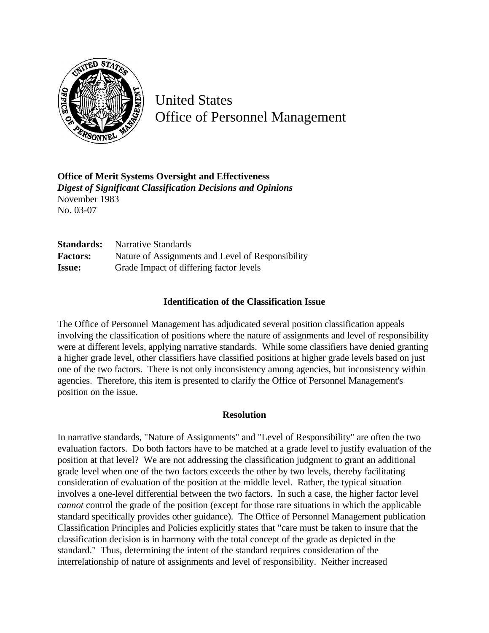

United States Office of Personnel Management

**Office of Merit Systems Oversight and Effectiveness** *Digest of Significant Classification Decisions and Opinions* November 1983 No. 03-07

| <b>Standards:</b> | Narrative Standards                               |
|-------------------|---------------------------------------------------|
| <b>Factors:</b>   | Nature of Assignments and Level of Responsibility |
| <b>Issue:</b>     | Grade Impact of differing factor levels           |

## **Identification of the Classification Issue**

The Office of Personnel Management has adjudicated several position classification appeals involving the classification of positions where the nature of assignments and level of responsibility were at different levels, applying narrative standards. While some classifiers have denied granting a higher grade level, other classifiers have classified positions at higher grade levels based on just one of the two factors. There is not only inconsistency among agencies, but inconsistency within agencies. Therefore, this item is presented to clarify the Office of Personnel Management's position on the issue.

## **Resolution**

In narrative standards, "Nature of Assignments" and "Level of Responsibility" are often the two evaluation factors. Do both factors have to be matched at a grade level to justify evaluation of the position at that level? We are not addressing the classification judgment to grant an additional grade level when one of the two factors exceeds the other by two levels, thereby facilitating consideration of evaluation of the position at the middle level. Rather, the typical situation involves a one-level differential between the two factors. In such a case, the higher factor level *cannot* control the grade of the position (except for those rare situations in which the applicable standard specifically provides other guidance). The Office of Personnel Management publication Classification Principles and Policies explicitly states that "care must be taken to insure that the classification decision is in harmony with the total concept of the grade as depicted in the standard." Thus, determining the intent of the standard requires consideration of the interrelationship of nature of assignments and level of responsibility. Neither increased